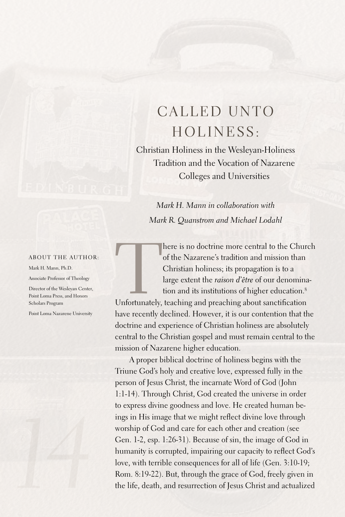## CALLED UNTO Hol iness:

Christian Holiness in the Wesleyan-Holiness Tradition and the Vocation of Nazarene Colleges and Universities

*Mark H. Mann in collaboration with Mark R. Quanstrom and Michael Lodahl*

## About the author:

Mark H. Mann, Ph.D.

Associate Professor of Theology

Director of the Wesleyan Center, Point Loma Press, and Honors Scholars Program

Point Loma Nazarene University



here is no doctrine more central to the Church<br>of the Nazarene's tradition and mission than<br>Christian holiness; its propagation is to a<br>large extent the *raison d'être* of our denomina-<br>tion and its institutions of higher of the Nazarene's tradition and mission than Christian holiness; its propagation is to a large extent the *raison d'être* of our denomination and its institutions of higher education. 8

Unfortunately, teaching and preaching about sanctification have recently declined. However, it is our contention that the doctrine and experience of Christian holiness are absolutely central to the Christian gospel and must remain central to the mission of Nazarene higher education.

A proper biblical doctrine of holiness begins with the Triune God's holy and creative love, expressed fully in the person of Jesus Christ, the incarnate Word of God (John 1:1-14). Through Christ, God created the universe in order to express divine goodness and love. He created human beings in His image that we might reflect divine love through worship of God and care for each other and creation (see Gen. 1-2, esp. 1:26-31). Because of sin, the image of God in humanity is corrupted, impairing our capacity to reflect God's love, with terrible consequences for all of life (Gen. 3:10-19; Rom. 8:19-22). But, through the grace of God, freely given in the life, death, and resurrection of Jesus Christ and actualized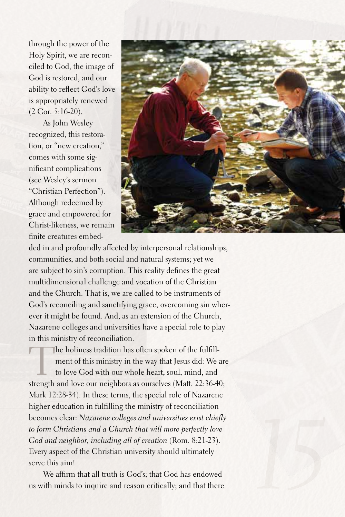through the power of the Holy Spirit, we are reconciled to God, the image of God is restored, and our ability to reflect God's love is appropriately renewed (2 Cor. 5:16-20).

As John Wesley recognized, this restoration, or "new creation," comes with some significant complications (see Wesley's sermon "Christian Perfection"). Although redeemed by grace and empowered for Christ-likeness, we remain finite creatures embed-



ded in and profoundly affected by interpersonal relationships, communities, and both social and natural systems; yet we are subject to sin's corruption. This reality defines the great multidimensional challenge and vocation of the Christian and the Church. That is, we are called to be instruments of God's reconciling and sanctifying grace, overcoming sin wherever it might be found.And, as an extension of the Church, Nazarene colleges and universities have a special role to play in this ministry of reconciliation.

The holiness tradition has often spoken of the fulfillment of this ministry in the way that Jesus did: We are to love God with our whole heart, soul, mind, and strength and love our neighbors as ourselves (Matt. 22:36-40; Mark 12:28-34). In these terms, the special role of Nazarene higher education in fulfilling the ministry of reconciliation becomes clear: *Nazarene colleges and universities exist chiefly to form Christians and a Church that will more perfectly love God and neighbor, including all of creation* (Rom. 8:21-23). Every aspect of the Christian university should ultimately serve this aim!

We affirm that all truth is God's; that God has endowed us with minds to inquire and reason critically; and that there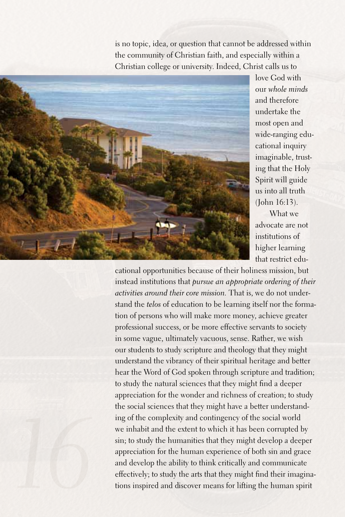is no topic, idea, or question that cannot be addressed within the community of Christian faith, and especially within a Christian college or university. Indeed, Christ calls us to



love God with our *whole minds* and therefore undertake the most open and wide-ranging educational inquiry imaginable, trusting that the Holy Spirit will guide us into all truth (John 16:13). What we

advocate are not institutions of higher learning that restrict edu-

cational opportunities because of their holiness mission, but instead institutions that *pursue an appropriate ordering of their activities around their core mission.* That is, we do not understand the *telos* of education to be learning itself nor the formation of persons who will make more money, achieve greater professional success, or be more effective servants to society in some vague, ultimately vacuous, sense. Rather, we wish our students to study scripture and theology that they might understand the vibrancy of their spiritual heritage and better hear the Word of God spoken through scripture and tradition; to study the natural sciences that they might find a deeper appreciation for the wonder and richness of creation; to study the social sciences that they might have a better understanding of the complexity and contingency of the social world we inhabit and the extent to which it has been corrupted by sin; to study the humanities that they might develop a deeper appreciation for the human experience of both sin and grace and develop the ability to think critically and communicate effectively; to study the arts that they might find their imaginations inspired and discover means for lifting the human spirit